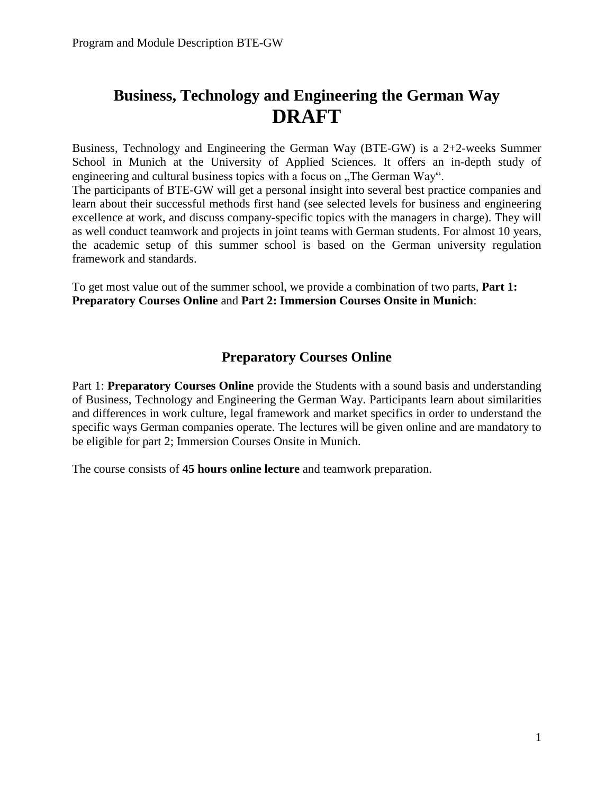# **Business, Technology and Engineering the German Way DRAFT**

Business, Technology and Engineering the German Way (BTE-GW) is a 2+2-weeks Summer School in Munich at the University of Applied Sciences. It offers an in-depth study of engineering and cultural business topics with a focus on "The German Way".

The participants of BTE-GW will get a personal insight into several best practice companies and learn about their successful methods first hand (see selected levels for business and engineering excellence at work, and discuss company-specific topics with the managers in charge). They will as well conduct teamwork and projects in joint teams with German students. For almost 10 years, the academic setup of this summer school is based on the German university regulation framework and standards.

To get most value out of the summer school, we provide a combination of two parts, **Part 1: Preparatory Courses Online** and **Part 2: Immersion Courses Onsite in Munich**:

# **Preparatory Courses Online**

Part 1: **Preparatory Courses Online** provide the Students with a sound basis and understanding of Business, Technology and Engineering the German Way. Participants learn about similarities and differences in work culture, legal framework and market specifics in order to understand the specific ways German companies operate. The lectures will be given online and are mandatory to be eligible for part 2; Immersion Courses Onsite in Munich.

The course consists of **45 hours online lecture** and teamwork preparation.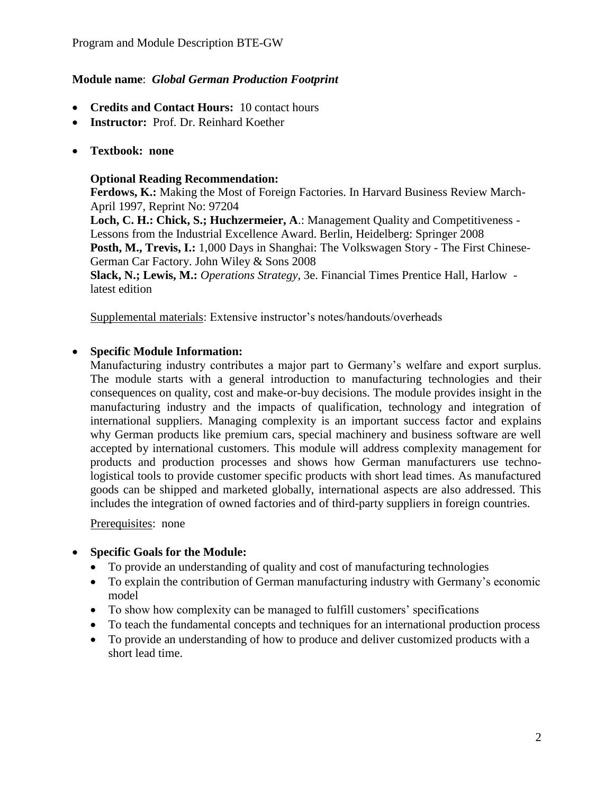# **Module name**: *Global German Production Footprint*

- **Credits and Contact Hours:** 10 contact hours
- **Instructor:** Prof. Dr. Reinhard Koether
- **Textbook: none**

## **Optional Reading Recommendation:**

**Ferdows, K.:** Making the Most of Foreign Factories. In Harvard Business Review March-April 1997, Reprint No: 97204

**Loch, C. H.: Chick, S.; Huchzermeier, A**.: Management Quality and Competitiveness - Lessons from the Industrial Excellence Award. Berlin, Heidelberg: Springer 2008 **Posth, M., Trevis, I.:** 1,000 Days in Shanghai: The Volkswagen Story - The First Chinese-German Car Factory. John Wiley & Sons 2008

**Slack, N.; Lewis, M.:** *Operations Strategy*, 3e. Financial Times Prentice Hall, Harlow latest edition

Supplemental materials: Extensive instructor's notes/handouts/overheads

# **Specific Module Information:**

Manufacturing industry contributes a major part to Germany's welfare and export surplus. The module starts with a general introduction to manufacturing technologies and their consequences on quality, cost and make-or-buy decisions. The module provides insight in the manufacturing industry and the impacts of qualification, technology and integration of international suppliers. Managing complexity is an important success factor and explains why German products like premium cars, special machinery and business software are well accepted by international customers. This module will address complexity management for products and production processes and shows how German manufacturers use technologistical tools to provide customer specific products with short lead times. As manufactured goods can be shipped and marketed globally, international aspects are also addressed. This includes the integration of owned factories and of third-party suppliers in foreign countries.

Prerequisites: none

#### **Specific Goals for the Module:**

- To provide an understanding of quality and cost of manufacturing technologies
- To explain the contribution of German manufacturing industry with Germany's economic model
- To show how complexity can be managed to fulfill customers' specifications
- To teach the fundamental concepts and techniques for an international production process
- To provide an understanding of how to produce and deliver customized products with a short lead time.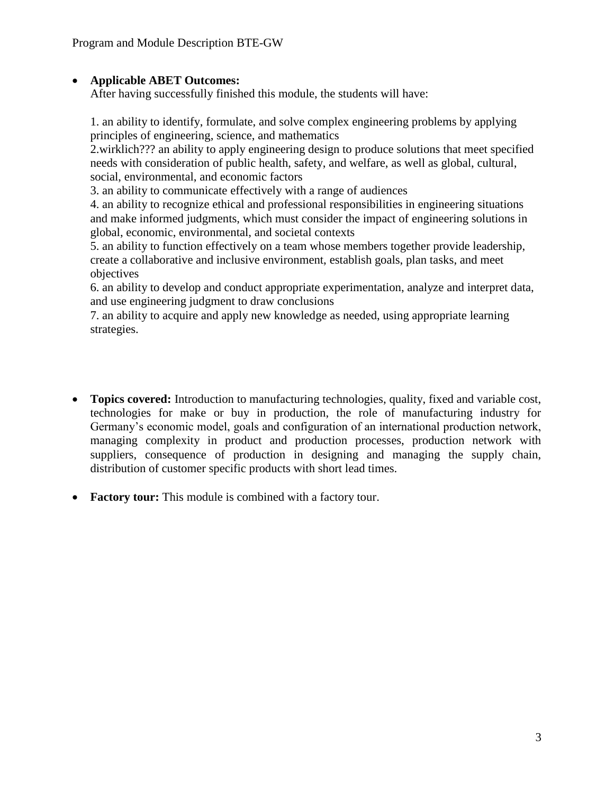# **Applicable ABET Outcomes:**

After having successfully finished this module, the students will have:

1. an ability to identify, formulate, and solve complex engineering problems by applying principles of engineering, science, and mathematics

2.wirklich??? an ability to apply engineering design to produce solutions that meet specified needs with consideration of public health, safety, and welfare, as well as global, cultural, social, environmental, and economic factors

3. an ability to communicate effectively with a range of audiences

4. an ability to recognize ethical and professional responsibilities in engineering situations and make informed judgments, which must consider the impact of engineering solutions in global, economic, environmental, and societal contexts

5. an ability to function effectively on a team whose members together provide leadership, create a collaborative and inclusive environment, establish goals, plan tasks, and meet objectives

6. an ability to develop and conduct appropriate experimentation, analyze and interpret data, and use engineering judgment to draw conclusions

7. an ability to acquire and apply new knowledge as needed, using appropriate learning strategies.

- **Topics covered:** Introduction to manufacturing technologies, quality, fixed and variable cost, technologies for make or buy in production, the role of manufacturing industry for Germany's economic model, goals and configuration of an international production network, managing complexity in product and production processes, production network with suppliers, consequence of production in designing and managing the supply chain, distribution of customer specific products with short lead times.
- **Factory tour:** This module is combined with a factory tour.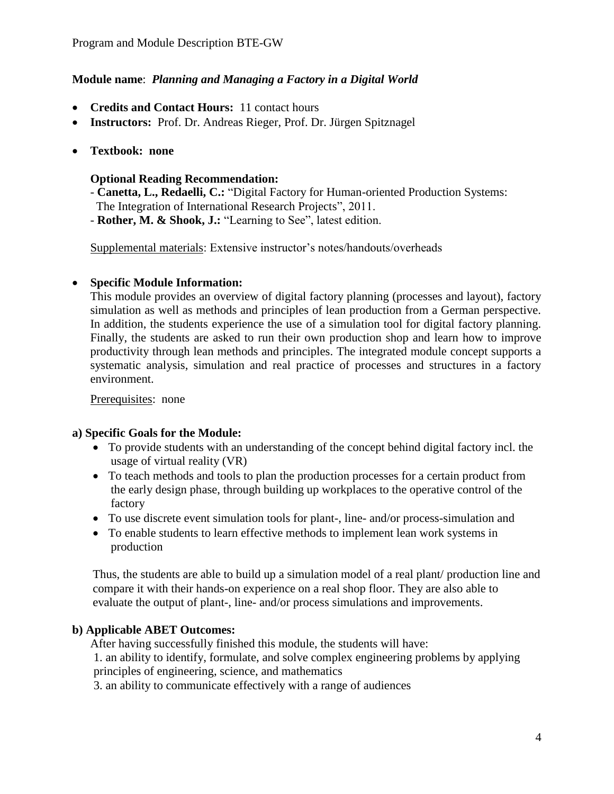# **Module name**: *Planning and Managing a Factory in a Digital World*

- **Credits and Contact Hours:** 11 contact hours
- **Instructors:** Prof. Dr. Andreas Rieger, Prof. Dr. Jürgen Spitznagel
- **Textbook: none**

#### **Optional Reading Recommendation:**

- **Canetta, L., Redaelli, C.:** "Digital Factory for Human-oriented Production Systems: The Integration of International Research Projects", 2011.
- **Rother, M. & Shook, J.:** "Learning to See", latest edition.

Supplemental materials: Extensive instructor's notes/handouts/overheads

#### **Specific Module Information:**

This module provides an overview of digital factory planning (processes and layout), factory simulation as well as methods and principles of lean production from a German perspective. In addition, the students experience the use of a simulation tool for digital factory planning. Finally, the students are asked to run their own production shop and learn how to improve productivity through lean methods and principles. The integrated module concept supports a systematic analysis, simulation and real practice of processes and structures in a factory environment.

Prerequisites: none

#### **a) Specific Goals for the Module:**

- To provide students with an understanding of the concept behind digital factory incl. the usage of virtual reality (VR)
- To teach methods and tools to plan the production processes for a certain product from the early design phase, through building up workplaces to the operative control of the factory
- To use discrete event simulation tools for plant-, line- and/or process-simulation and
- To enable students to learn effective methods to implement lean work systems in production

Thus, the students are able to build up a simulation model of a real plant/ production line and compare it with their hands-on experience on a real shop floor. They are also able to evaluate the output of plant-, line- and/or process simulations and improvements.

#### **b) Applicable ABET Outcomes:**

After having successfully finished this module, the students will have:

1. an ability to identify, formulate, and solve complex engineering problems by applying principles of engineering, science, and mathematics

3. an ability to communicate effectively with a range of audiences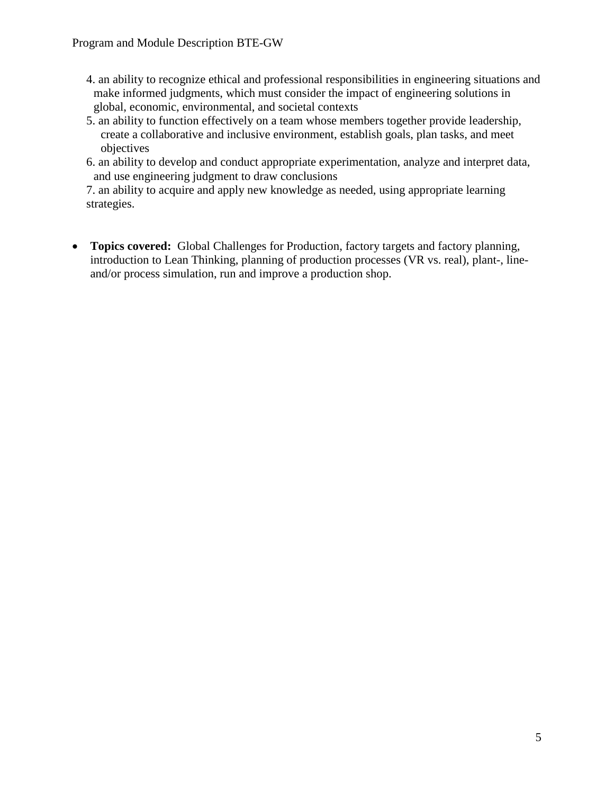- 4. an ability to recognize ethical and professional responsibilities in engineering situations and make informed judgments, which must consider the impact of engineering solutions in global, economic, environmental, and societal contexts
- 5. an ability to function effectively on a team whose members together provide leadership, create a collaborative and inclusive environment, establish goals, plan tasks, and meet objectives
- 6. an ability to develop and conduct appropriate experimentation, analyze and interpret data, and use engineering judgment to draw conclusions

7. an ability to acquire and apply new knowledge as needed, using appropriate learning strategies.

 **Topics covered:** Global Challenges for Production, factory targets and factory planning, introduction to Lean Thinking, planning of production processes (VR vs. real), plant-, lineand/or process simulation, run and improve a production shop.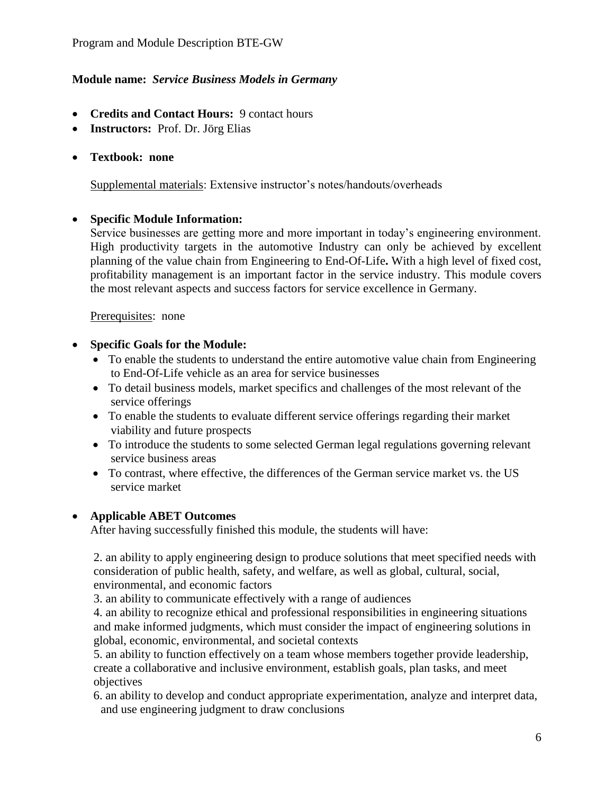# **Module name:** *Service Business Models in Germany*

- **Credits and Contact Hours:** 9 contact hours
- **Instructors:** Prof. Dr. Jörg Elias
- **Textbook: none**

Supplemental materials: Extensive instructor's notes/handouts/overheads

# **Specific Module Information:**

Service businesses are getting more and more important in today's engineering environment. High productivity targets in the automotive Industry can only be achieved by excellent planning of the value chain from Engineering to End-Of-Life**.** With a high level of fixed cost, profitability management is an important factor in the service industry. This module covers the most relevant aspects and success factors for service excellence in Germany.

Prerequisites: none

# **Specific Goals for the Module:**

- To enable the students to understand the entire automotive value chain from Engineering to End-Of-Life vehicle as an area for service businesses
- To detail business models, market specifics and challenges of the most relevant of the service offerings
- To enable the students to evaluate different service offerings regarding their market viability and future prospects
- To introduce the students to some selected German legal regulations governing relevant service business areas
- To contrast, where effective, the differences of the German service market vs. the US service market

#### **Applicable ABET Outcomes**

After having successfully finished this module, the students will have:

2. an ability to apply engineering design to produce solutions that meet specified needs with consideration of public health, safety, and welfare, as well as global, cultural, social, environmental, and economic factors

3. an ability to communicate effectively with a range of audiences

4. an ability to recognize ethical and professional responsibilities in engineering situations and make informed judgments, which must consider the impact of engineering solutions in global, economic, environmental, and societal contexts

5. an ability to function effectively on a team whose members together provide leadership, create a collaborative and inclusive environment, establish goals, plan tasks, and meet objectives

6. an ability to develop and conduct appropriate experimentation, analyze and interpret data, and use engineering judgment to draw conclusions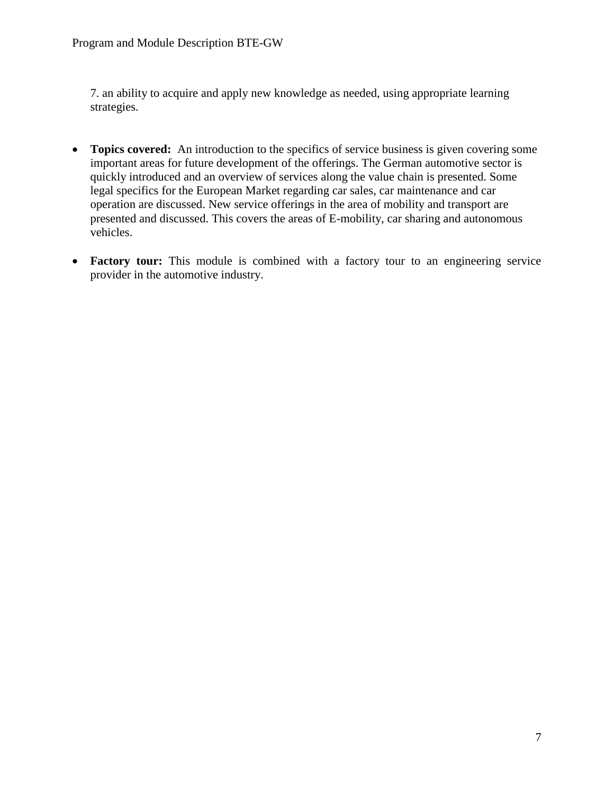7. an ability to acquire and apply new knowledge as needed, using appropriate learning strategies.

- **Topics covered:** An introduction to the specifics of service business is given covering some important areas for future development of the offerings. The German automotive sector is quickly introduced and an overview of services along the value chain is presented. Some legal specifics for the European Market regarding car sales, car maintenance and car operation are discussed. New service offerings in the area of mobility and transport are presented and discussed. This covers the areas of E-mobility, car sharing and autonomous vehicles.
- Factory tour: This module is combined with a factory tour to an engineering service provider in the automotive industry.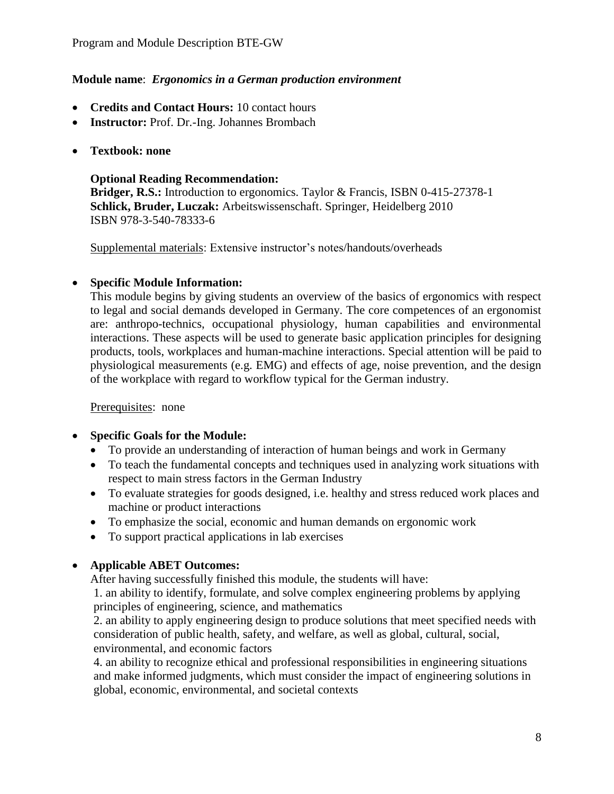#### **Module name**: *Ergonomics in a German production environment*

- **Credits and Contact Hours:** 10 contact hours
- **Instructor:** Prof. Dr.-Ing. Johannes Brombach
- **Textbook: none**

## **Optional Reading Recommendation:**

**Bridger, R.S.:** Introduction to ergonomics. Taylor & Francis, ISBN 0-415-27378-1 **Schlick, Bruder, Luczak:** Arbeitswissenschaft. Springer, Heidelberg 2010 ISBN 978-3-540-78333-6

Supplemental materials: Extensive instructor's notes/handouts/overheads

# **Specific Module Information:**

This module begins by giving students an overview of the basics of ergonomics with respect to legal and social demands developed in Germany. The core competences of an ergonomist are: anthropo-technics, occupational physiology, human capabilities and environmental interactions. These aspects will be used to generate basic application principles for designing products, tools, workplaces and human-machine interactions. Special attention will be paid to physiological measurements (e.g. EMG) and effects of age, noise prevention, and the design of the workplace with regard to workflow typical for the German industry.

Prerequisites: none

# **Specific Goals for the Module:**

- To provide an understanding of interaction of human beings and work in Germany
- To teach the fundamental concepts and techniques used in analyzing work situations with respect to main stress factors in the German Industry
- To evaluate strategies for goods designed, i.e. healthy and stress reduced work places and machine or product interactions
- To emphasize the social, economic and human demands on ergonomic work
- To support practical applications in lab exercises

# **Applicable ABET Outcomes:**

After having successfully finished this module, the students will have:

1. an ability to identify, formulate, and solve complex engineering problems by applying principles of engineering, science, and mathematics

2. an ability to apply engineering design to produce solutions that meet specified needs with consideration of public health, safety, and welfare, as well as global, cultural, social, environmental, and economic factors

4. an ability to recognize ethical and professional responsibilities in engineering situations and make informed judgments, which must consider the impact of engineering solutions in global, economic, environmental, and societal contexts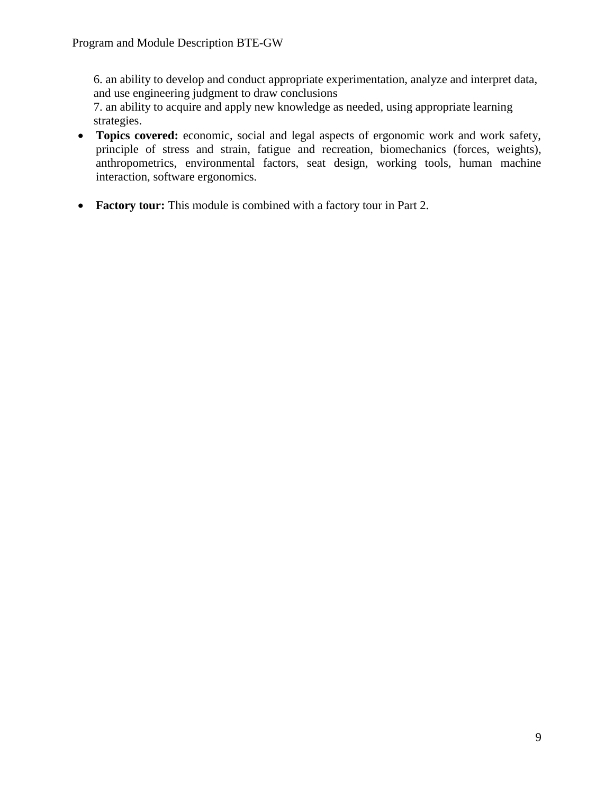6. an ability to develop and conduct appropriate experimentation, analyze and interpret data, and use engineering judgment to draw conclusions

7. an ability to acquire and apply new knowledge as needed, using appropriate learning strategies.

- **Topics covered:** economic, social and legal aspects of ergonomic work and work safety, principle of stress and strain, fatigue and recreation, biomechanics (forces, weights), anthropometrics, environmental factors, seat design, working tools, human machine interaction, software ergonomics.
- **Factory tour:** This module is combined with a factory tour in Part 2.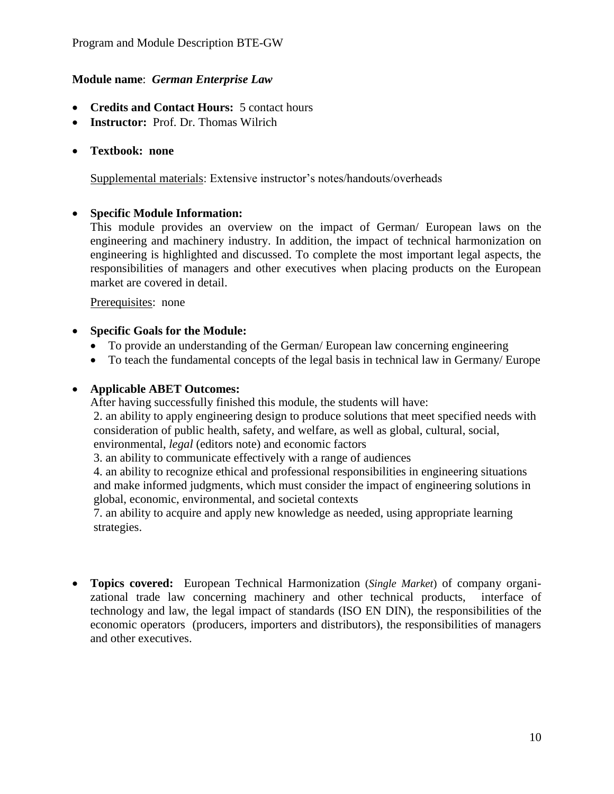## **Module name**: *German Enterprise Law*

- **Credits and Contact Hours:** 5 contact hours
- **Instructor:** Prof. Dr. Thomas Wilrich
- **Textbook: none**

Supplemental materials: Extensive instructor's notes/handouts/overheads

#### **Specific Module Information:**

This module provides an overview on the impact of German/ European laws on the engineering and machinery industry. In addition, the impact of technical harmonization on engineering is highlighted and discussed. To complete the most important legal aspects, the responsibilities of managers and other executives when placing products on the European market are covered in detail.

Prerequisites: none

- **Specific Goals for the Module:**
	- To provide an understanding of the German/ European law concerning engineering
	- To teach the fundamental concepts of the legal basis in technical law in Germany/ Europe

#### **Applicable ABET Outcomes:**

After having successfully finished this module, the students will have:

2. an ability to apply engineering design to produce solutions that meet specified needs with consideration of public health, safety, and welfare, as well as global, cultural, social, environmental, *legal* (editors note) and economic factors

3. an ability to communicate effectively with a range of audiences

4. an ability to recognize ethical and professional responsibilities in engineering situations and make informed judgments, which must consider the impact of engineering solutions in global, economic, environmental, and societal contexts

7. an ability to acquire and apply new knowledge as needed, using appropriate learning strategies.

 **Topics covered:** European Technical Harmonization (*Single Market*) of company organizational trade law concerning machinery and other technical products, interface of technology and law, the legal impact of standards (ISO EN DIN), the responsibilities of the economic operators (producers, importers and distributors), the responsibilities of managers and other executives.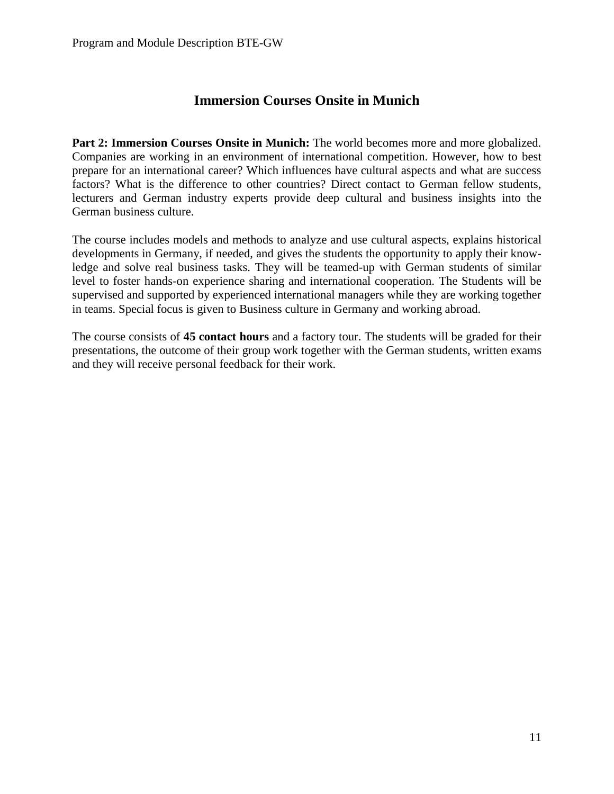# **Immersion Courses Onsite in Munich**

**Part 2: Immersion Courses Onsite in Munich:** The world becomes more and more globalized. Companies are working in an environment of international competition. However, how to best prepare for an international career? Which influences have cultural aspects and what are success factors? What is the difference to other countries? Direct contact to German fellow students, lecturers and German industry experts provide deep cultural and business insights into the German business culture.

The course includes models and methods to analyze and use cultural aspects, explains historical developments in Germany, if needed, and gives the students the opportunity to apply their knowledge and solve real business tasks. They will be teamed-up with German students of similar level to foster hands-on experience sharing and international cooperation. The Students will be supervised and supported by experienced international managers while they are working together in teams. Special focus is given to Business culture in Germany and working abroad.

The course consists of **45 contact hours** and a factory tour. The students will be graded for their presentations, the outcome of their group work together with the German students, written exams and they will receive personal feedback for their work.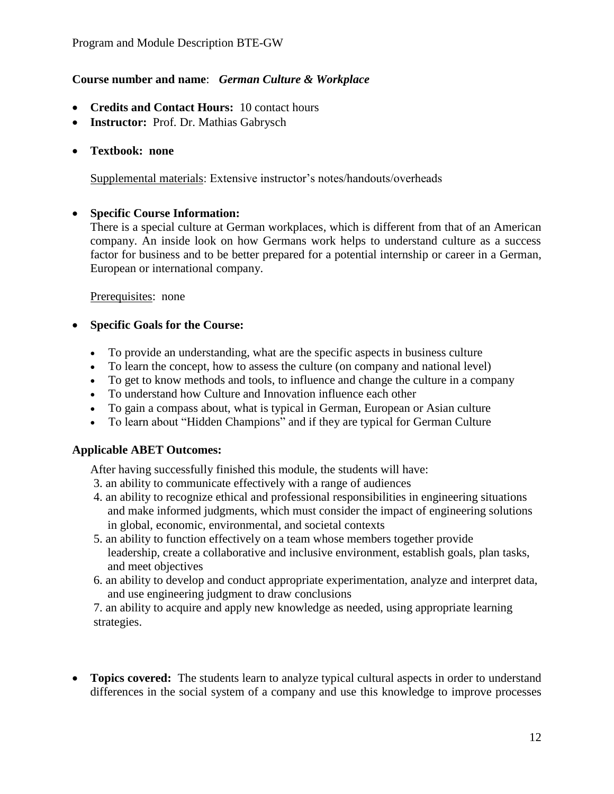# **Course number and name**: *German Culture & Workplace*

- **Credits and Contact Hours:** 10 contact hours
- **Instructor:** Prof. Dr. Mathias Gabrysch
- **Textbook: none**

Supplemental materials: Extensive instructor's notes/handouts/overheads

#### **Specific Course Information:**

There is a special culture at German workplaces, which is different from that of an American company. An inside look on how Germans work helps to understand culture as a success factor for business and to be better prepared for a potential internship or career in a German, European or international company.

Prerequisites: none

# **Specific Goals for the Course:**

- To provide an understanding, what are the specific aspects in business culture
- To learn the concept, how to assess the culture (on company and national level)
- To get to know methods and tools, to influence and change the culture in a company
- To understand how Culture and Innovation influence each other
- To gain a compass about, what is typical in German, European or Asian culture
- To learn about "Hidden Champions" and if they are typical for German Culture

#### **Applicable ABET Outcomes:**

After having successfully finished this module, the students will have:

- 3. an ability to communicate effectively with a range of audiences
- 4. an ability to recognize ethical and professional responsibilities in engineering situations and make informed judgments, which must consider the impact of engineering solutions in global, economic, environmental, and societal contexts
- 5. an ability to function effectively on a team whose members together provide leadership, create a collaborative and inclusive environment, establish goals, plan tasks, and meet objectives
- 6. an ability to develop and conduct appropriate experimentation, analyze and interpret data, and use engineering judgment to draw conclusions

7. an ability to acquire and apply new knowledge as needed, using appropriate learning strategies.

• **Topics covered:** The students learn to analyze typical cultural aspects in order to understand differences in the social system of a company and use this knowledge to improve processes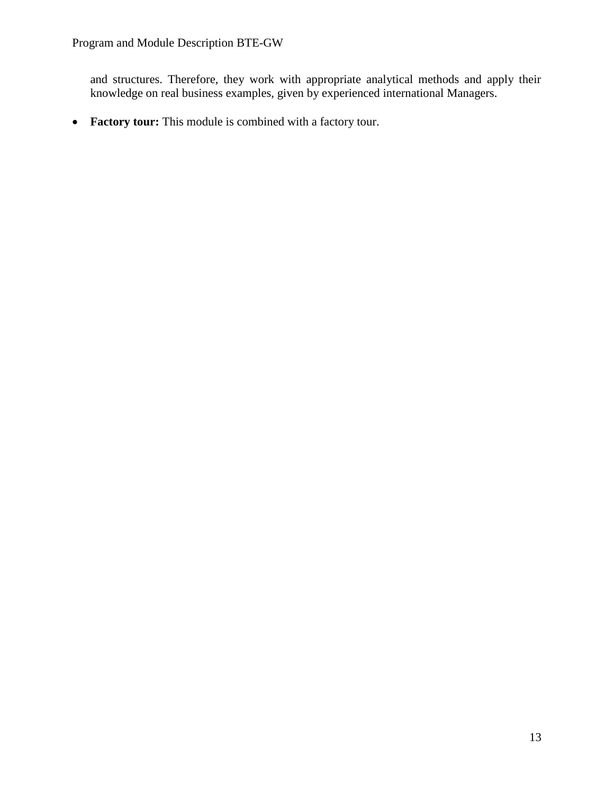and structures. Therefore, they work with appropriate analytical methods and apply their knowledge on real business examples, given by experienced international Managers.

**Factory tour:** This module is combined with a factory tour.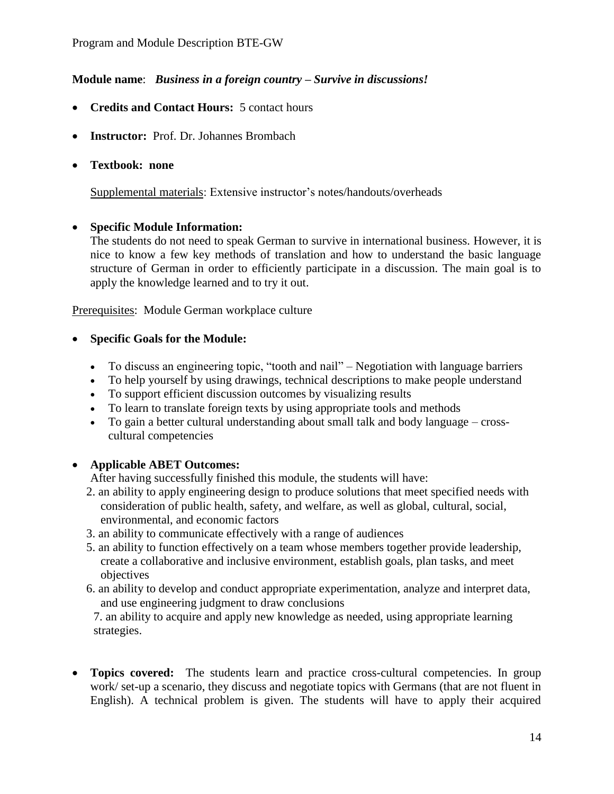# **Module name**: *Business in a foreign country – Survive in discussions!*

- **Credits and Contact Hours:** 5 contact hours
- **Instructor:** Prof. Dr. Johannes Brombach
- **Textbook: none**

Supplemental materials: Extensive instructor's notes/handouts/overheads

# **Specific Module Information:**

The students do not need to speak German to survive in international business. However, it is nice to know a few key methods of translation and how to understand the basic language structure of German in order to efficiently participate in a discussion. The main goal is to apply the knowledge learned and to try it out.

Prerequisites: Module German workplace culture

# **Specific Goals for the Module:**

- To discuss an engineering topic, "tooth and nail" Negotiation with language barriers
- To help yourself by using drawings, technical descriptions to make people understand
- To support efficient discussion outcomes by visualizing results
- To learn to translate foreign texts by using appropriate tools and methods
- To gain a better cultural understanding about small talk and body language crosscultural competencies

# **Applicable ABET Outcomes:**

After having successfully finished this module, the students will have:

- 2. an ability to apply engineering design to produce solutions that meet specified needs with consideration of public health, safety, and welfare, as well as global, cultural, social, environmental, and economic factors
- 3. an ability to communicate effectively with a range of audiences
- 5. an ability to function effectively on a team whose members together provide leadership, create a collaborative and inclusive environment, establish goals, plan tasks, and meet objectives
- 6. an ability to develop and conduct appropriate experimentation, analyze and interpret data, and use engineering judgment to draw conclusions

7. an ability to acquire and apply new knowledge as needed, using appropriate learning strategies.

• Topics covered: The students learn and practice cross-cultural competencies. In group work/ set-up a scenario, they discuss and negotiate topics with Germans (that are not fluent in English). A technical problem is given. The students will have to apply their acquired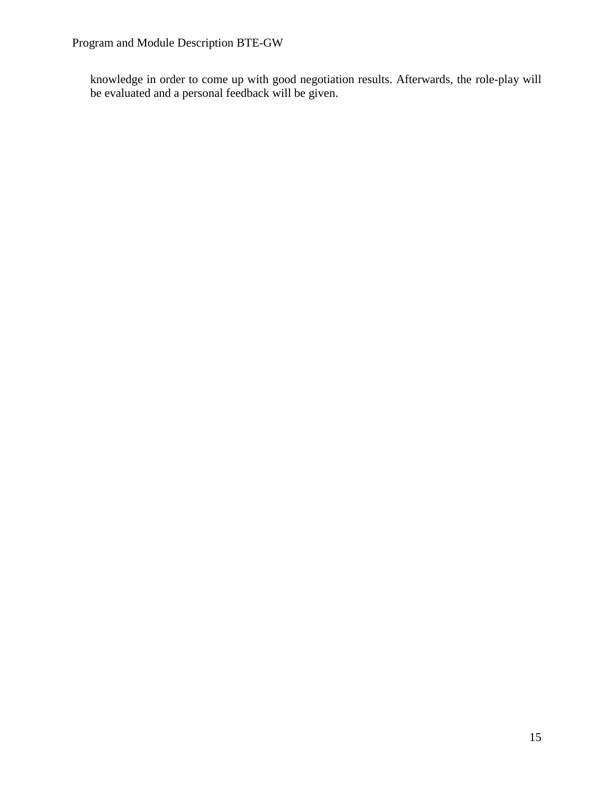knowledge in order to come up with good negotiation results. Afterwards, the role-play will be evaluated and a personal feedback will be given.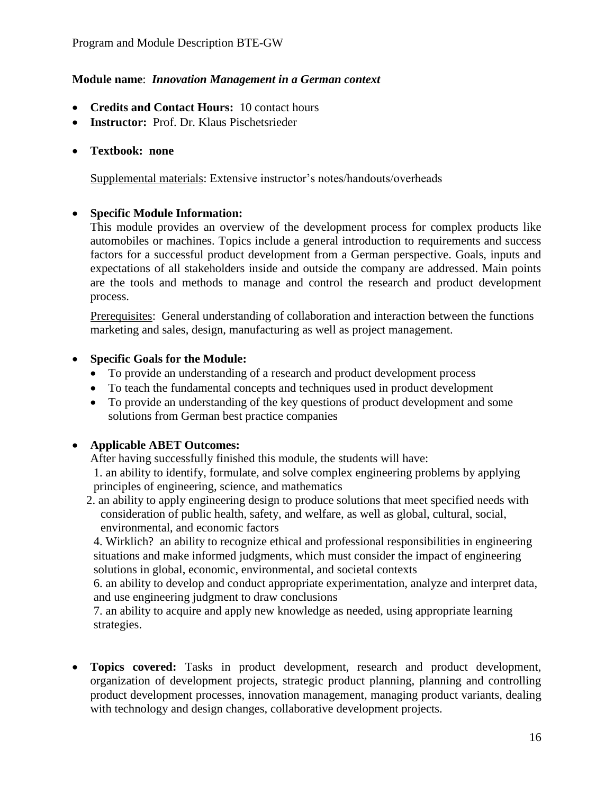#### **Module name**: *Innovation Management in a German context*

- **Credits and Contact Hours:** 10 contact hours
- **Instructor:** Prof. Dr. Klaus Pischetsrieder

#### **Textbook: none**

Supplemental materials: Extensive instructor's notes/handouts/overheads

# **Specific Module Information:**

This module provides an overview of the development process for complex products like automobiles or machines. Topics include a general introduction to requirements and success factors for a successful product development from a German perspective. Goals, inputs and expectations of all stakeholders inside and outside the company are addressed. Main points are the tools and methods to manage and control the research and product development process.

Prerequisites: General understanding of collaboration and interaction between the functions marketing and sales, design, manufacturing as well as project management.

# **Specific Goals for the Module:**

- To provide an understanding of a research and product development process
- To teach the fundamental concepts and techniques used in product development
- To provide an understanding of the key questions of product development and some solutions from German best practice companies

# **Applicable ABET Outcomes:**

After having successfully finished this module, the students will have:

1. an ability to identify, formulate, and solve complex engineering problems by applying principles of engineering, science, and mathematics

2. an ability to apply engineering design to produce solutions that meet specified needs with consideration of public health, safety, and welfare, as well as global, cultural, social, environmental, and economic factors

4. Wirklich? an ability to recognize ethical and professional responsibilities in engineering situations and make informed judgments, which must consider the impact of engineering solutions in global, economic, environmental, and societal contexts

6. an ability to develop and conduct appropriate experimentation, analyze and interpret data, and use engineering judgment to draw conclusions

7. an ability to acquire and apply new knowledge as needed, using appropriate learning strategies.

 **Topics covered:** Tasks in product development, research and product development, organization of development projects, strategic product planning, planning and controlling product development processes, innovation management, managing product variants, dealing with technology and design changes, collaborative development projects.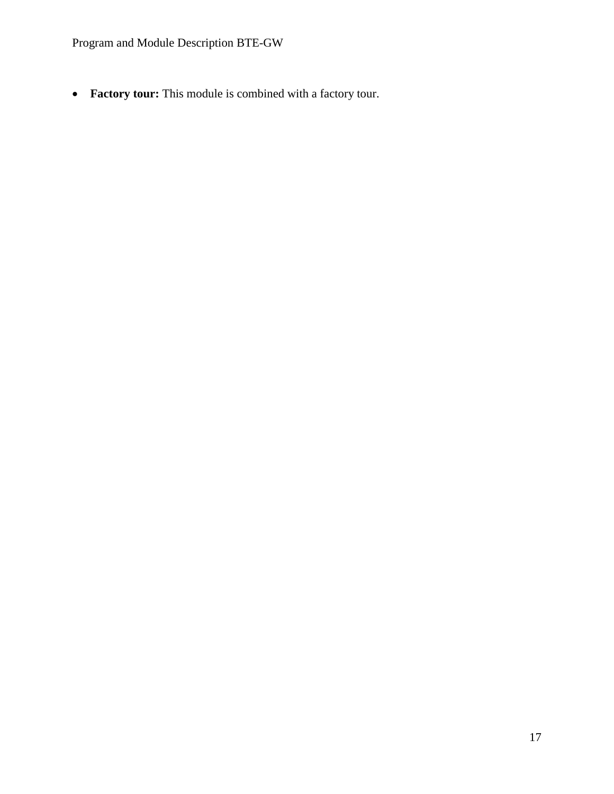Program and Module Description BTE-GW

**Factory tour:** This module is combined with a factory tour.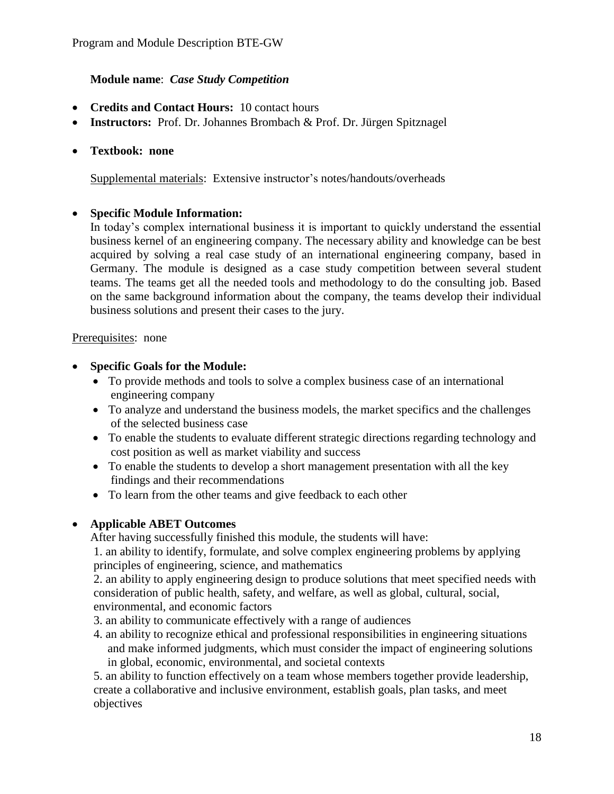# **Module name**: *Case Study Competition*

- **Credits and Contact Hours:** 10 contact hours
- **Instructors:** Prof. Dr. Johannes Brombach & Prof. Dr. Jürgen Spitznagel

## **Textbook: none**

Supplemental materials: Extensive instructor's notes/handouts/overheads

# **Specific Module Information:**

In today's complex international business it is important to quickly understand the essential business kernel of an engineering company. The necessary ability and knowledge can be best acquired by solving a real case study of an international engineering company, based in Germany. The module is designed as a case study competition between several student teams. The teams get all the needed tools and methodology to do the consulting job. Based on the same background information about the company, the teams develop their individual business solutions and present their cases to the jury.

#### Prerequisites: none

# **Specific Goals for the Module:**

- To provide methods and tools to solve a complex business case of an international engineering company
- To analyze and understand the business models, the market specifics and the challenges of the selected business case
- To enable the students to evaluate different strategic directions regarding technology and cost position as well as market viability and success
- To enable the students to develop a short management presentation with all the key findings and their recommendations
- To learn from the other teams and give feedback to each other

# **Applicable ABET Outcomes**

After having successfully finished this module, the students will have:

1. an ability to identify, formulate, and solve complex engineering problems by applying principles of engineering, science, and mathematics

2. an ability to apply engineering design to produce solutions that meet specified needs with consideration of public health, safety, and welfare, as well as global, cultural, social, environmental, and economic factors

3. an ability to communicate effectively with a range of audiences

4. an ability to recognize ethical and professional responsibilities in engineering situations and make informed judgments, which must consider the impact of engineering solutions in global, economic, environmental, and societal contexts

5. an ability to function effectively on a team whose members together provide leadership, create a collaborative and inclusive environment, establish goals, plan tasks, and meet objectives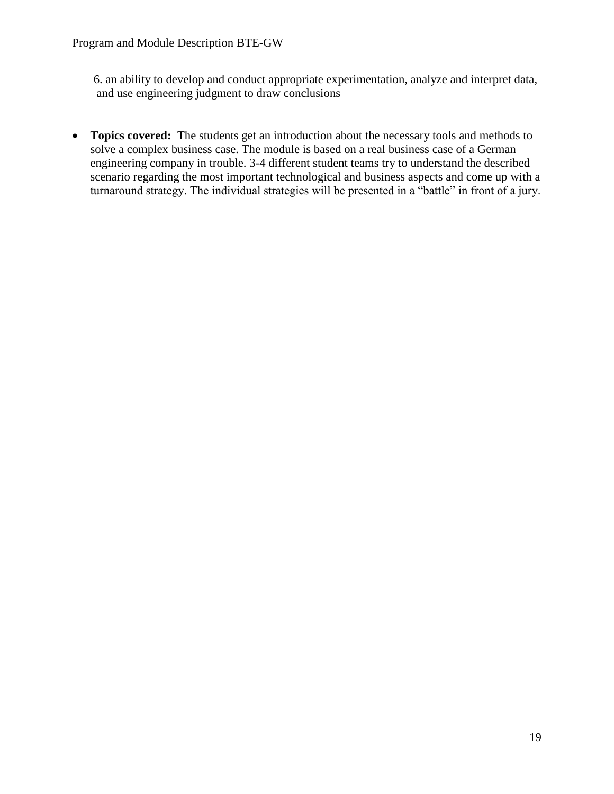6. an ability to develop and conduct appropriate experimentation, analyze and interpret data, and use engineering judgment to draw conclusions

• **Topics covered:** The students get an introduction about the necessary tools and methods to solve a complex business case. The module is based on a real business case of a German engineering company in trouble. 3-4 different student teams try to understand the described scenario regarding the most important technological and business aspects and come up with a turnaround strategy. The individual strategies will be presented in a "battle" in front of a jury.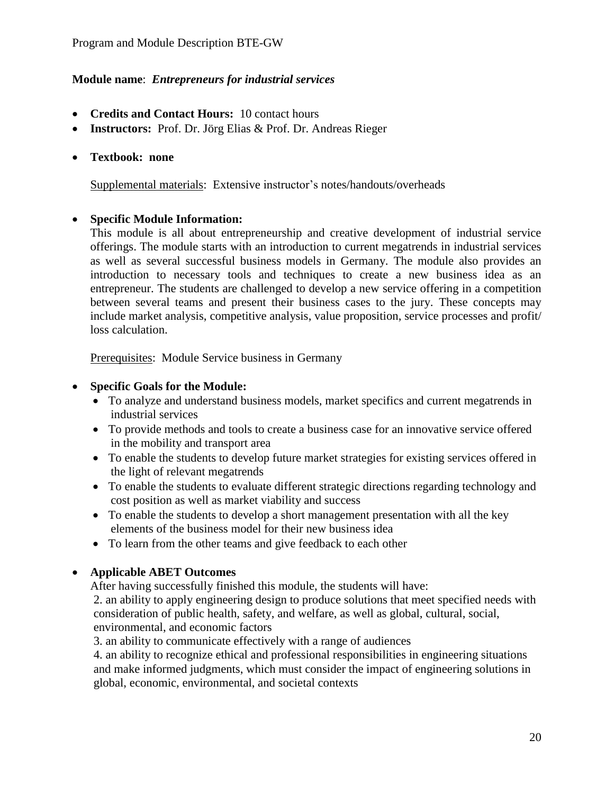# **Module name**: *Entrepreneurs for industrial services*

- **Credits and Contact Hours:** 10 contact hours
- **Instructors:** Prof. Dr. Jörg Elias & Prof. Dr. Andreas Rieger
- **Textbook: none**

Supplemental materials: Extensive instructor's notes/handouts/overheads

#### **Specific Module Information:**

This module is all about entrepreneurship and creative development of industrial service offerings. The module starts with an introduction to current megatrends in industrial services as well as several successful business models in Germany. The module also provides an introduction to necessary tools and techniques to create a new business idea as an entrepreneur. The students are challenged to develop a new service offering in a competition between several teams and present their business cases to the jury. These concepts may include market analysis, competitive analysis, value proposition, service processes and profit/ loss calculation.

Prerequisites: Module Service business in Germany

#### **Specific Goals for the Module:**

- To analyze and understand business models, market specifics and current megatrends in industrial services
- To provide methods and tools to create a business case for an innovative service offered in the mobility and transport area
- To enable the students to develop future market strategies for existing services offered in the light of relevant megatrends
- To enable the students to evaluate different strategic directions regarding technology and cost position as well as market viability and success
- To enable the students to develop a short management presentation with all the key elements of the business model for their new business idea
- To learn from the other teams and give feedback to each other

#### **Applicable ABET Outcomes**

After having successfully finished this module, the students will have:

2. an ability to apply engineering design to produce solutions that meet specified needs with consideration of public health, safety, and welfare, as well as global, cultural, social, environmental, and economic factors

3. an ability to communicate effectively with a range of audiences

4. an ability to recognize ethical and professional responsibilities in engineering situations and make informed judgments, which must consider the impact of engineering solutions in global, economic, environmental, and societal contexts